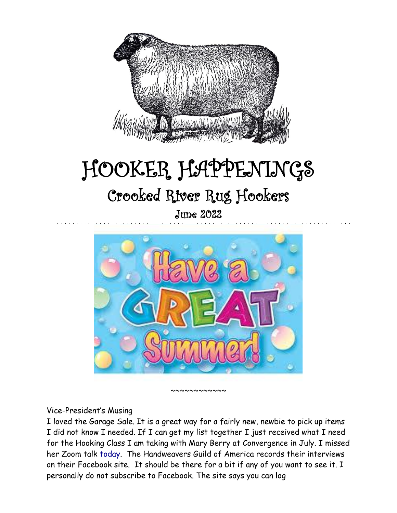

# HOOKER HAPPENINGS Crooked River Rug Hookers

June 2022



~~~~~~~~~~

#### Vice-President's Musing

I loved the Garage Sale. It is a great way for a fairly new, newbie to pick up items I did not know I needed. If I can get my list together I just received what I need for the Hooking Class I am taking with Mary Berry at Convergence in July. I missed her Zoom talk today. The Handweavers Guild of America records their interviews on their Facebook site. It should be there for a bit if any of you want to see it. I personally do not subscribe to Facebook. The site says you can log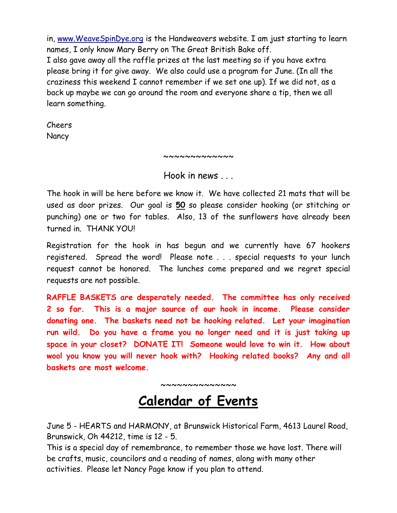in, [www.WeaveSpinDye.org](http://www.weavespindye.org/) is the Handweavers website. I am just starting to learn names, I only know Mary Berry on The Great British Bake off. I also gave away all the raffle prizes at the last meeting so if you have extra please bring it for give away. We also could use a program for June. (In all the craziness this weekend I cannot remember if we set one up). If we did not, as a back up maybe we can go around the room and everyone share a tip, then we all learn something.

Cheers **Nancy** 

~~~~~~~~~~~~~

Hook in news

The hook in will be here before we know it. We have collected 21 mats that will be used as door prizes. Our goal is **50** so please consider hooking (or stitching or punching) one or two for tables. Also, 13 of the sunflowers have already been turned in. THANK YOU!

Registration for the hook in has begun and we currently have 67 hookers registered. Spread the word! Please note . . . special requests to your lunch request cannot be honored. The lunches come prepared and we regret special requests are not possible.

**RAFFLE BASKETS are desperately needed. The committee has only received 2 so far. This is a major source of our hook in income. Please consider donating one. The baskets need not be hooking related. Let your imagination run wild. Do you have a frame you no longer need and it is just taking up space in your closet? DONATE IT! Someone would love to win it. How about wool you know you will never hook with? Hooking related books? Any and all baskets are most welcome.**

~~~~~~~~~~~~~~

**Calendar of Events**

June 5 - HEARTS and HARMONY, at Brunswick Historical Farm, 4613 Laurel Road, Brunswick, Oh 44212, time is 12 - 5.

This is a special day of remembrance, to remember those we have lost. There will be crafts, music, councilors and a reading of names, along with many other activities. Please let Nancy Page know if you plan to attend.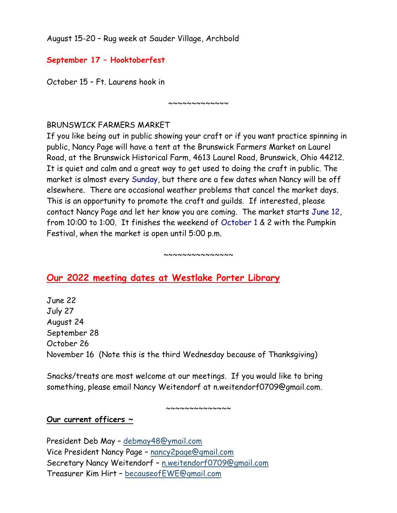August 15-20 – Rug week at Sauder Village, Archbold

## **September 17 – Hooktoberfest**

October 15 – Ft. Laurens hook in

## BRUNSWICK FARMERS MARKET

If you like being out in public showing your craft or if you want practice spinning in public, Nancy Page will have a tent at the Brunswick Farmers Market on Laurel Road, at the Brunswick Historical Farm, 4613 Laurel Road, Brunswick, Ohio 44212. It is quiet and calm and a great way to get used to doing the craft in public. The market is almost every Sunday, but there are a few dates when Nancy will be off elsewhere. There are occasional weather problems that cancel the market days. This is an opportunity to promote the craft and guilds. If interested, please contact Nancy Page and let her know you are coming. The market starts June 12, from 10:00 to 1:00. It finishes the weekend of October 1 & 2 with the Pumpkin Festival, when the market is open until 5:00 p.m.

 $~\sim\sim\sim\sim\sim\sim\sim\sim\sim\sim\sim$ 

#### $~\sim~\sim~\sim~\sim~\sim~\sim~\sim~\sim~\sim~\sim~\sim~\sim$

# **Our 2022 meeting dates at Westlake Porter Library**

June 22 July 27 August 24 September 28 October 26 November 16 (Note this is the third Wednesday because of Thanksgiving)

Snacks/treats are most welcome at our meetings. If you would like to bring something, please email Nancy Weitendorf at n.weitendorf0709@gmail.com.

~~~~~~~~~~~~~~

#### **Our current officers ~**

President Deb May – [debmay48@ymail.com](mailto:debmay48@ymail.com) Vice President Nancy Page – [nancy2page@gmail.com](mailto:nancy2page@gmail.com) Secretary Nancy Weitendorf – [n.weitendorf0709@gmail.com](mailto:n.weitendorf0709@gmail.com) Treasurer Kim Hirt – [becauseofEWE@gmail.com](mailto:becauseofEWE@gmail.com)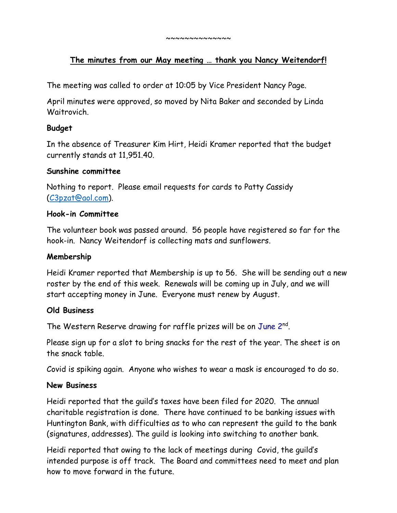#### **The minutes from our May meeting … thank you Nancy Weitendorf!**

The meeting was called to order at 10:05 by Vice President Nancy Page.

April minutes were approved, so moved by Nita Baker and seconded by Linda Waitrovich.

#### **Budget**

In the absence of Treasurer Kim Hirt, Heidi Kramer reported that the budget currently stands at 11,951.40.

#### **Sunshine committee**

Nothing to report. Please email requests for cards to Patty Cassidy [\(C3pzat@aol.com\)](mailto:C3pzat@aol.com).

#### **Hook-in Committee**

The volunteer book was passed around. 56 people have registered so far for the hook-in. Nancy Weitendorf is collecting mats and sunflowers.

#### **Membership**

Heidi Kramer reported that Membership is up to 56. She will be sending out a new roster by the end of this week. Renewals will be coming up in July, and we will start accepting money in June. Everyone must renew by August.

#### **Old Business**

The Western Reserve drawing for raffle prizes will be on June 2nd.

Please sign up for a slot to bring snacks for the rest of the year. The sheet is on the snack table.

Covid is spiking again. Anyone who wishes to wear a mask is encouraged to do so.

#### **New Business**

Heidi reported that the guild's taxes have been filed for 2020. The annual charitable registration is done. There have continued to be banking issues with Huntington Bank, with difficulties as to who can represent the guild to the bank (signatures, addresses). The guild is looking into switching to another bank.

Heidi reported that owing to the lack of meetings during Covid, the guild's intended purpose is off track. The Board and committees need to meet and plan how to move forward in the future.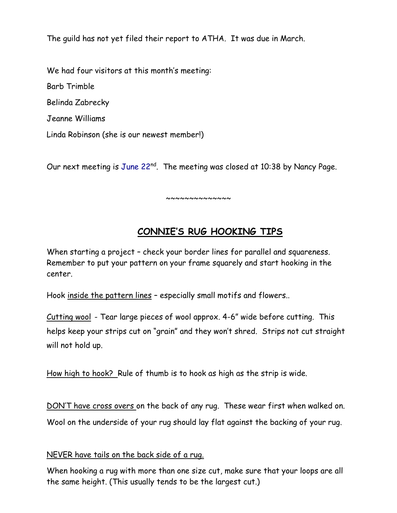The guild has not yet filed their report to ATHA. It was due in March.

We had four visitors at this month's meeting:

Barb Trimble

Belinda Zabrecky

Jeanne Williams

Linda Robinson (she is our newest member!)

Our next meeting is June 22<sup>nd</sup>. The meeting was closed at 10:38 by Nancy Page.

~~~~~~~~~~~~~

# **CONNIE'S RUG HOOKING TIPS**

When starting a project – check your border lines for parallel and squareness. Remember to put your pattern on your frame squarely and start hooking in the center.

Hook inside the pattern lines - especially small motifs and flowers..

Cutting wool - Tear large pieces of wool approx. 4-6" wide before cutting. This helps keep your strips cut on "grain" and they won't shred. Strips not cut straight will not hold up.

How high to hook? Rule of thumb is to hook as high as the strip is wide.

DON'T have cross overs on the back of any rug. These wear first when walked on. Wool on the underside of your rug should lay flat against the backing of your rug.

## NEVER have tails on the back side of a rug.

When hooking a rug with more than one size cut, make sure that your loops are all the same height. (This usually tends to be the largest cut.)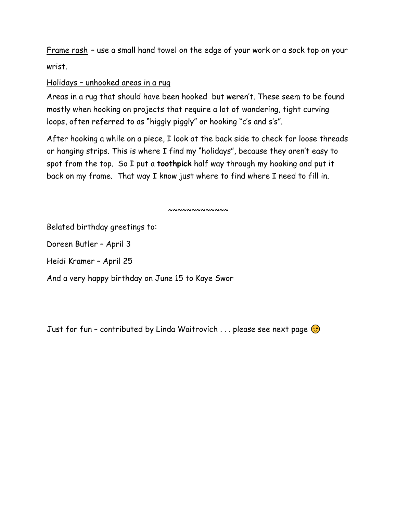Frame rash – use a small hand towel on the edge of your work or a sock top on your wrist.

#### Holidays – unhooked areas in a rug

Areas in a rug that should have been hooked but weren't. These seem to be found mostly when hooking on projects that require a lot of wandering, tight curving loops, often referred to as "higgly piggly" or hooking "c's and s's".

After hooking a while on a piece, I look at the back side to check for loose threads or hanging strips. This is where I find my "holidays", because they aren't easy to spot from the top. So I put a **toothpick** half way through my hooking and put it back on my frame. That way I know just where to find where I need to fill in.

 $~\sim~\sim~\sim~\sim~\sim~\sim~\sim~\sim~\sim$ 

Belated birthday greetings to:

Doreen Butler – April 3

Heidi Kramer – April 25

And a very happy birthday on June 15 to Kaye Swor

Just for fun - contributed by Linda Waitrovich . . . please see next page  $\odot$